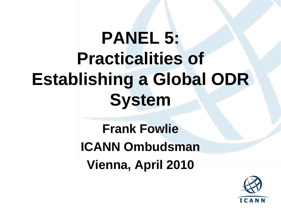# **PANEL 5: Practicalities of Establishing a Global ODR System**

**Frank Fowlie ICANN Ombudsman Vienna, April 2010**

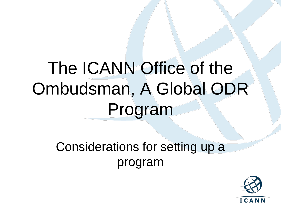## The ICANN Office of the Ombudsman, A Global ODR Program

Considerations for setting up a program

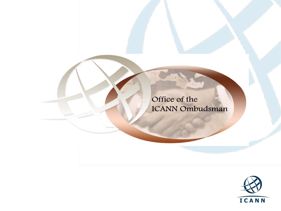Office of the **ICANN Ombudsman** 

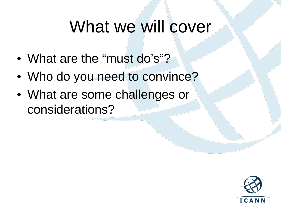#### What we will cover

- What are the "must do's"?
- Who do you need to convince?
- What are some challenges or considerations?

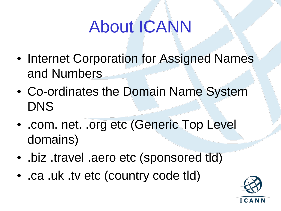## About ICANN

- Internet Corporation for Assigned Names and Numbers
- Co-ordinates the Domain Name System DNS
- .com. net. .org etc (Generic Top Level domains)
- .biz .travel .aero etc (sponsored tld)
- .ca .uk .tv etc (country code tld)

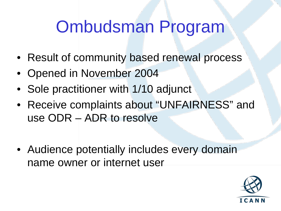## Ombudsman Program

- Result of community based renewal process
- Opened in November 2004
- Sole practitioner with 1/10 adjunct
- Receive complaints about "UNFAIRNESS" and use ODR – ADR to resolve
- Audience potentially includes every domain name owner or internet user

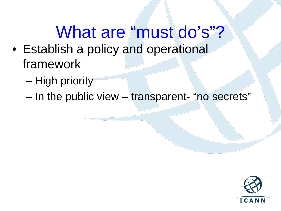#### What are "must do's"? • Establish a policy and operational framework

- High priority
- In the public view transparent- "no secrets"

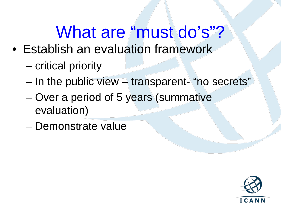## What are "must do's"?

- Establish an evaluation framework
	- critical priority
	- $-$  In the public view  $-$  transparent- "no secrets"
	- Over a period of 5 years (summative evaluation)
	- Demonstrate value

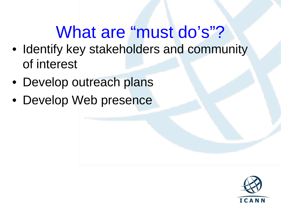## What are "must do's"?

- Identify key stakeholders and community of interest
- Develop outreach plans
- Develop Web presence

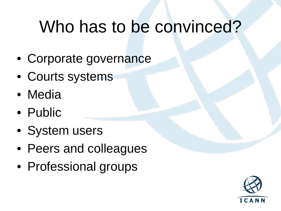#### Who has to be convinced?

- Corporate governance
- Courts systems
- Media
- Public
- System users
- Peers and colleagues
- Professional groups

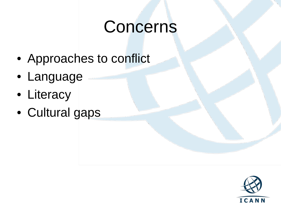#### Concerns

- Approaches to conflict
- Language
- Literacy
- Cultural gaps

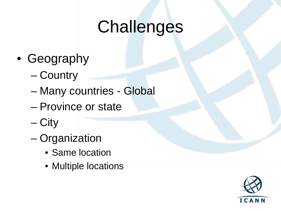- Geography
	- Country
	- Many countries Global
	- Province or state
	- City
	- Organization
		- Same location
		- Multiple locations

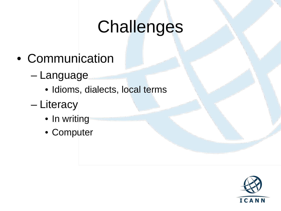- Communication
	- Language
		- Idioms, dialects, local terms
	- Literacy
		- In writing
		- Computer

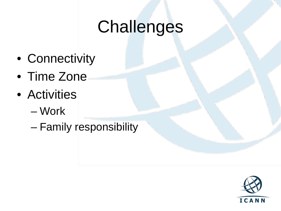- Connectivity
- Time Zone
- Activities
	- Work
	- Family responsibility

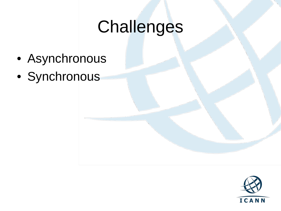- Asynchronous
- Synchronous

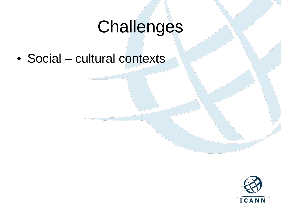• Social – cultural contexts

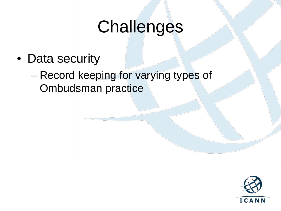- Data security
	- Record keeping for varying types of Ombudsman practice

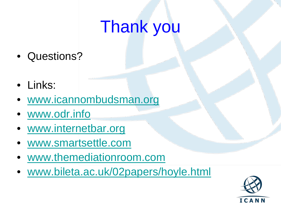## Thank you

- Questions?
- Links:
- [www.icannombudsman.org](http://www.icannombudsman.org/)
- [www.odr.info](http://www.odr.info/)
- [www.internetbar.org](http://www.internetbar.org/)
- www.smartsettle.com
- [www.themediationroom.com](http://www.themediationroom.com/)
- www.bileta.ac.uk/02papers/hoyle.html